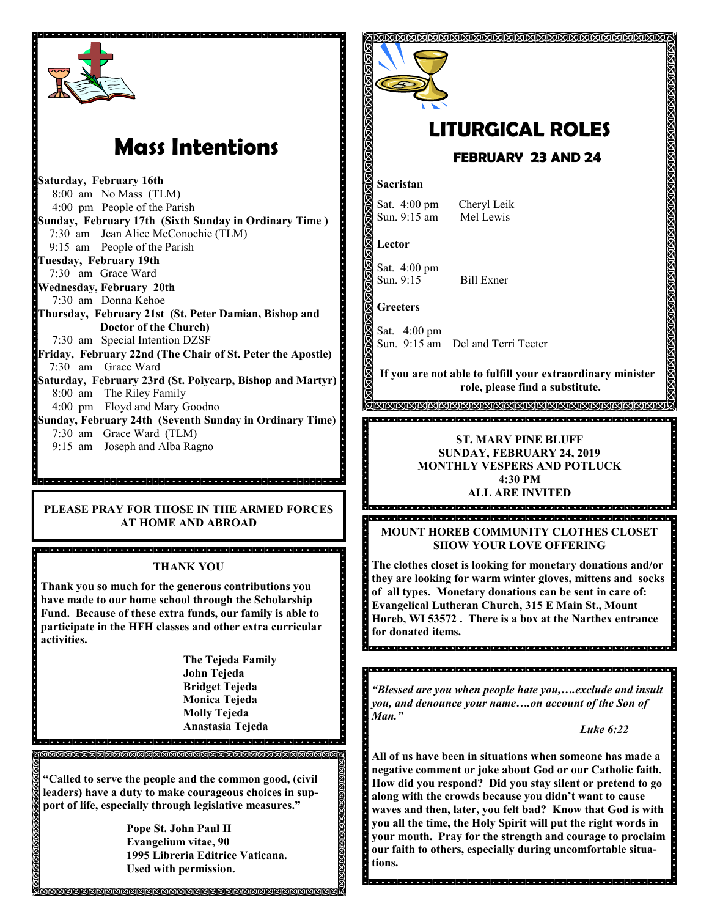

# **Mass Intentions**

**Saturday, February 16th** 8:00 am No Mass (TLM) 4:00 pm People of the Parish **Sunday, February 17th (Sixth Sunday in Ordinary Time )** 7:30 am Jean Alice McConochie (TLM) 9:15 am People of the Parish **Tuesday, February 19th** 7:30 am Grace Ward **Wednesday, February 20th** 7:30 am Donna Kehoe **Thursday, February 21st (St. Peter Damian, Bishop and Doctor of the Church)** 7:30 am Special Intention DZSF **Friday, February 22nd (The Chair of St. Peter the Apostle)** 7:30 am Grace Ward **Saturday, February 23rd (St. Polycarp, Bishop and Martyr)** 8:00 am The Riley Family 4:00 pm Floyd and Mary Goodno **Sunday, February 24th (Seventh Sunday in Ordinary Time)** 7:30 am Grace Ward (TLM) 9:15 am Joseph and Alba Ragno

#### **PLEASE PRAY FOR THOSE IN THE ARMED FORCES AT HOME AND ABROAD**

a ciencia de la ciencia de la ciencia de la ciencia de la ciencia de la ciencia de la ciencia de la c

#### **THANK YOU**

**Thank you so much for the generous contributions you have made to our home school through the Scholarship Fund. Because of these extra funds, our family is able to participate in the HFH classes and other extra curricular activities.**

> **The Tejeda Family John Tejeda Bridget Tejeda Monica Tejeda Molly Tejeda Anastasia Tejeda**

> > <u>in de la ciencia de la cien</u>

**"Called to serve the people and the common good, (civil leaders) have a duty to make courageous choices in support of life, especially through legislative measures."**

**Pope St. John Paul II Evangelium vitae, 90 1995 Libreria Editrice Vaticana. Used with permission.**



**our faith to others, especially during uncomfortable situa-**

**tions.**